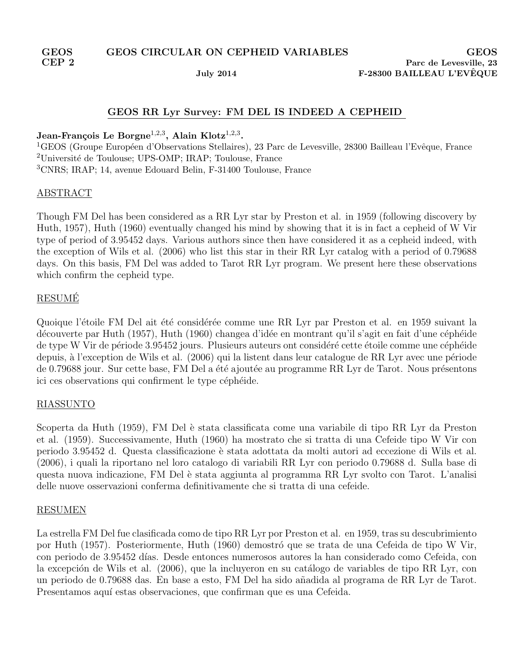# GEOS RR Lyr Survey: FM DEL IS INDEED A CEPHEID

## Jean-François Le Borgne $^{1,2,3}$ , Alain Klotz $^{1,2,3}$ .

<sup>1</sup>GEOS (Groupe Européen d'Observations Stellaires), 23 Parc de Levesville, 28300 Bailleau l'Evêque, France <sup>2</sup>Université de Toulouse; UPS-OMP; IRAP; Toulouse, France <sup>3</sup>CNRS; IRAP; 14, avenue Edouard Belin, F-31400 Toulouse, France

### ABSTRACT

Though FM Del has been considered as a RR Lyr star by Preston et al. in 1959 (following discovery by Huth, 1957), Huth (1960) eventually changed his mind by showing that it is in fact a cepheid of W Vir type of period of 3.95452 days. Various authors since then have considered it as a cepheid indeed, with the exception of Wils et al. (2006) who list this star in their RR Lyr catalog with a period of 0.79688 days. On this basis, FM Del was added to Tarot RR Lyr program. We present here these observations which confirm the cepheid type.

## **RESUMÉ**

Quoique l'étoile FM Del ait été considérée comme une RR Lyr par Preston et al. en 1959 suivant la découverte par Huth (1957), Huth (1960) changea d'idée en montrant qu'il s'agit en fait d'une céphéide de type W Vir de période 3.95452 jours. Plusieurs auteurs ont considéré cette étoile comme une céphéide depuis, à l'exception de Wils et al.  $(2006)$  qui la listent dans leur catalogue de RR Lyr avec une période de 0.79688 jour. Sur cette base, FM Del a été ajoutée au programme RR Lyr de Tarot. Nous présentons ici ces observations qui confirment le type céphéide.

## RIASSUNTO

Scoperta da Huth (1959), FM Del è stata classificata come una variabile di tipo RR Lyr da Preston et al. (1959). Successivamente, Huth (1960) ha mostrato che si tratta di una Cefeide tipo W Vir con periodo 3.95452 d. Questa classificazione è stata adottata da molti autori ad eccezione di Wils et al. (2006), i quali la riportano nel loro catalogo di variabili RR Lyr con periodo 0.79688 d. Sulla base di questa nuova indicazione, FM Del è stata aggiunta al programma RR Lyr svolto con Tarot. L'analisi delle nuove osservazioni conferma definitivamente che si tratta di una cefeide.

#### RESUMEN

La estrella FM Del fue clasificada como de tipo RR Lyr por Preston et al. en 1959, tras su descubrimiento por Huth (1957). Posteriormente, Huth (1960) demostró que se trata de una Cefeida de tipo W Vir, con periodo de 3.95452 d´ıas. Desde entonces numerosos autores la han considerado como Cefeida, con la excepción de Wils et al. (2006), que la incluyeron en su catálogo de variables de tipo RR Lyr, con un periodo de 0.79688 das. En base a esto, FM Del ha sido a˜nadida al programa de RR Lyr de Tarot. Presentamos aquí estas observaciones, que confirman que es una Cefeida.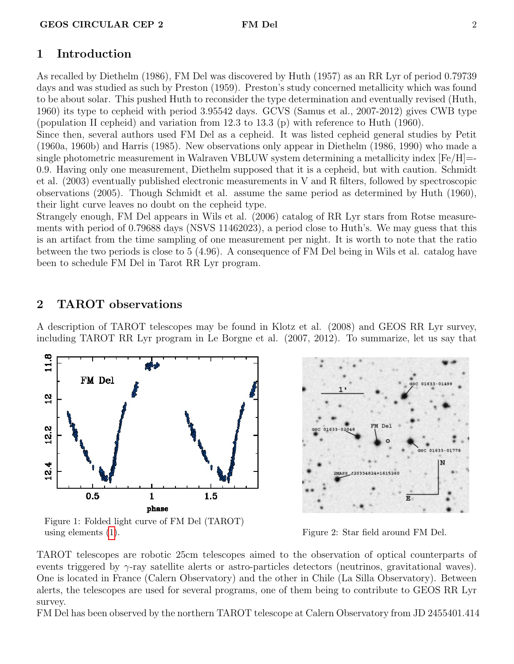# 1 Introduction

As recalled by Diethelm (1986), FM Del was discovered by Huth (1957) as an RR Lyr of period 0.79739 days and was studied as such by Preston (1959). Preston's study concerned metallicity which was found to be about solar. This pushed Huth to reconsider the type determination and eventually revised (Huth, 1960) its type to cepheid with period 3.95542 days. GCVS (Samus et al., 2007-2012) gives CWB type (population II cepheid) and variation from 12.3 to 13.3 (p) with reference to Huth (1960).

Since then, several authors used FM Del as a cepheid. It was listed cepheid general studies by Petit (1960a, 1960b) and Harris (1985). New observations only appear in Diethelm (1986, 1990) who made a single photometric measurement in Walraven VBLUW system determining a metallicity index  $[Fe/H]=$ 0.9. Having only one measurement, Diethelm supposed that it is a cepheid, but with caution. Schmidt et al. (2003) eventually published electronic measurements in V and R filters, followed by spectroscopic observations (2005). Though Schmidt et al. assume the same period as determined by Huth (1960), their light curve leaves no doubt on the cepheid type.

Strangely enough, FM Del appears in Wils et al. (2006) catalog of RR Lyr stars from Rotse measurements with period of 0.79688 days (NSVS 11462023), a period close to Huth's. We may guess that this is an artifact from the time sampling of one measurement per night. It is worth to note that the ratio between the two periods is close to 5 (4.96). A consequence of FM Del being in Wils et al. catalog have been to schedule FM Del in Tarot RR Lyr program.

# 2 TAROT observations

A description of TAROT telescopes may be found in Klotz et al. (2008) and GEOS RR Lyr survey, including TAROT RR Lyr program in Le Borgne et al. (2007, 2012). To summarize, let us say that



Figure 1: Folded light curve of FM Del (TAROT) using elements [\(1\)](#page-2-0). The same state of the set of the set of the set of the set of the set of the set of the set of the set of the set of the set of the set of the set of the set of the set of the set of the set of the set



TAROT telescopes are robotic 25cm telescopes aimed to the observation of optical counterparts of events triggered by  $\gamma$ -ray satellite alerts or astro-particles detectors (neutrinos, gravitational waves). One is located in France (Calern Observatory) and the other in Chile (La Silla Observatory). Between alerts, the telescopes are used for several programs, one of them being to contribute to GEOS RR Lyr survey.

FM Del has been observed by the northern TAROT telescope at Calern Observatory from JD 2455401.414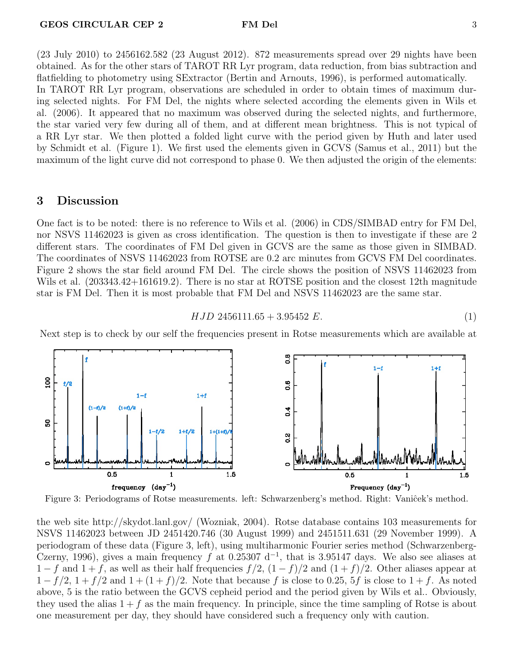the star varied very few during all of them, and at different mean brightness. This is not typical of a RR Lyr star. We then plotted a folded light curve with the period given by Huth and later used by Schmidt et al. (Figure 1). We first used the elements given in GCVS (Samus et al., 2011) but the maximum of the light curve did not correspond to phase 0. We then adjusted the origin of the elements:

### 3 Discussion

One fact is to be noted: there is no reference to Wils et al. (2006) in CDS/SIMBAD entry for FM Del, nor NSVS 11462023 is given as cross identification. The question is then to investigate if these are 2 different stars. The coordinates of FM Del given in GCVS are the same as those given in SIMBAD. The coordinates of NSVS 11462023 from ROTSE are 0.2 arc minutes from GCVS FM Del coordinates. Figure 2 shows the star field around FM Del. The circle shows the position of NSVS 11462023 from Wils et al. (203343.42+161619.2). There is no star at ROTSE position and the closest 12th magnitude star is FM Del. Then it is most probable that FM Del and NSVS 11462023 are the same star.

<span id="page-2-0"></span>
$$
HJD 2456111.65 + 3.95452 E.
$$
\n<sup>(1)</sup>

Next step is to check by our self the frequencies present in Rotse measurements which are available at



Figure 3: Periodograms of Rotse measurements. left: Schwarzenberg's method. Right: Vaniĉek's method.

the web site http://skydot.lanl.gov/ (Wozniak, 2004). Rotse database contains 103 measurements for NSVS 11462023 between JD 2451420.746 (30 August 1999) and 2451511.631 (29 November 1999). A periodogram of these data (Figure 3, left), using multiharmonic Fourier series method (Schwarzenberg-Czerny, 1996), gives a main frequency f at 0.25307  $d^{-1}$ , that is 3.95147 days. We also see aliases at  $1 - f$  and  $1 + f$ , as well as their half frequencies  $f/2$ ,  $(1 - f)/2$  and  $(1 + f)/2$ . Other aliases appear at  $1 - f/2$ ,  $1 + f/2$  and  $1 + (1 + f)/2$ . Note that because f is close to 0.25, 5f is close to  $1 + f$ . As noted above, 5 is the ratio between the GCVS cepheid period and the period given by Wils et al.. Obviously, they used the alias  $1 + f$  as the main frequency. In principle, since the time sampling of Rotse is about one measurement per day, they should have considered such a frequency only with caution.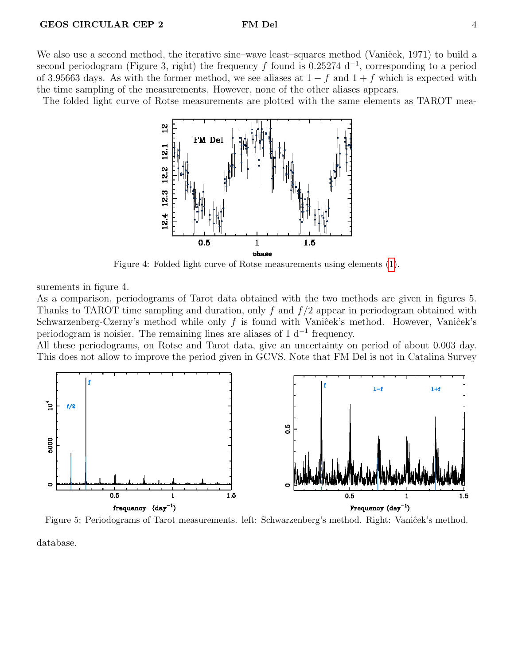We also use a second method, the iterative sine–wave least–squares method (Vaniĉek, 1971) to build a second periodogram (Figure 3, right) the frequency f found is 0.25274 d<sup>-1</sup>, corresponding to a period of 3.95663 days. As with the former method, we see aliases at  $1 - f$  and  $1 + f$  which is expected with the time sampling of the measurements. However, none of the other aliases appears.

The folded light curve of Rotse measurements are plotted with the same elements as TAROT mea-



Figure 4: Folded light curve of Rotse measurements using elements [\(1\)](#page-2-0).

surements in figure 4.

As a comparison, periodograms of Tarot data obtained with the two methods are given in figures 5. Thanks to TAROT time sampling and duration, only f and  $f/2$  appear in periodogram obtained with Schwarzenberg-Czerny's method while only  $f$  is found with Vaniĉek's method. However, Vaniĉek's periodogram is noisier. The remaining lines are aliases of  $1 \, \mathrm{d}^{-1}$  frequency.

All these periodograms, on Rotse and Tarot data, give an uncertainty on period of about 0.003 day. This does not allow to improve the period given in GCVS. Note that FM Del is not in Catalina Survey



Figure 5: Periodograms of Tarot measurements. left: Schwarzenberg's method. Right: Vaniĉek's method. database.